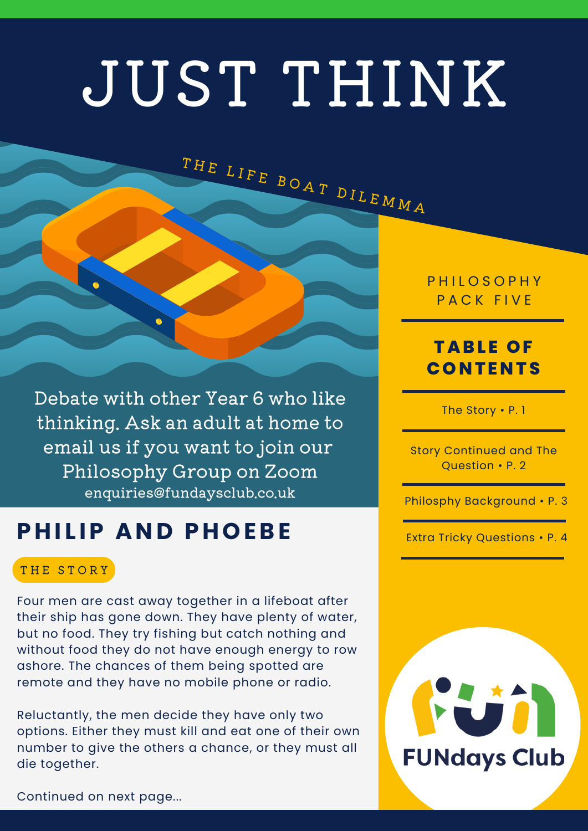# JUST THINK

THE LIFE BOAT DILEMMA

Debate with other Year 6 who like thinking. Ask an adult at home to email us if you want to join our Philosophy Group on Zoom enquiries@fundaysclub.co.uk

## **P H I L IP AND P HOEBE**

#### THE STORY

Four men are cast away together in a lifeboat after their ship has gone down. They have plenty of water, but no food. They try fishing but catch nothing and without food they do not have enough energy to row ashore. The chances of them being spotted are remote and they have no mobile phone or radio.

Reluctantly, the men decide they have only two options. Either they must kill and eat one of their own number to give the others a chance, or they must all die together.

**PHILOSOPHY** PACK FIVE

## **TABL E OF CONTENTS**

The Story • P. 1

Story Continued and The Question • P. 2

Philosphy Background • P. 3

Extra Tricky Questions • P. 4



Continued on next page...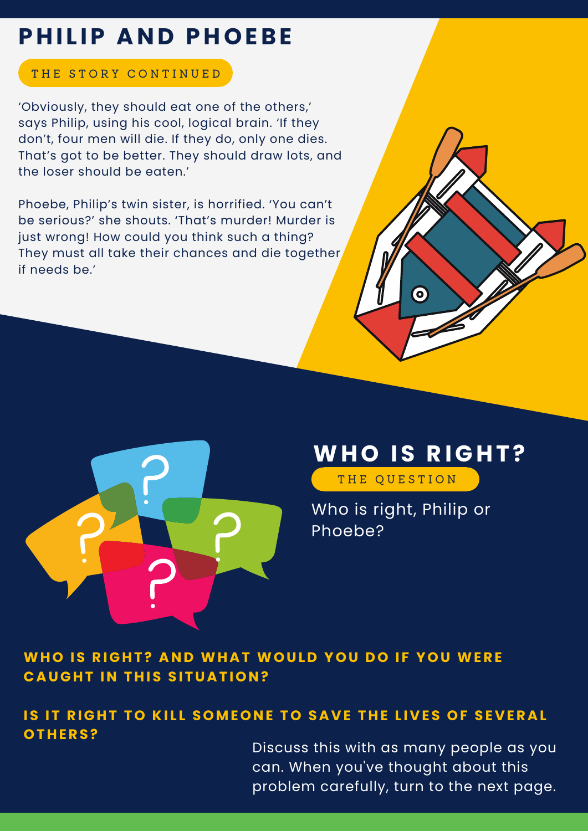## **P H I L IP AND P HOEBE**

### THE STORY CONTINUED

'Obviously, they should eat one of the others,' says Philip, using his cool, logical brain. 'If they don't, four men will die. If they do, only one dies. That's got to be better. They should draw lots, and the loser should be eaten.'

Phoebe, Philip's twin sister, is horrified. 'You can't be serious?' she shouts. 'That's murder! Murder is just wrong! How could you think such a thing? They must all take their chances and die together if needs be.'



## **WHO IS RIGH T ?**

 $\bullet$ 

THE QUESTION

Who is right, Philip or Phoebe?

**WHO IS RIGH T ? AND WH A T WOU L D YOU DO I F YOU WERE**  $C$ **AUGHT IN THIS SITUATION?** 

## IS IT RIGHT TO KILL SOMEONE TO SAVE THE LIVES OF SEVERAL **OT H ERS?**

Discuss this with as many people as you can. When you've thought about this problem carefully, turn to the next page.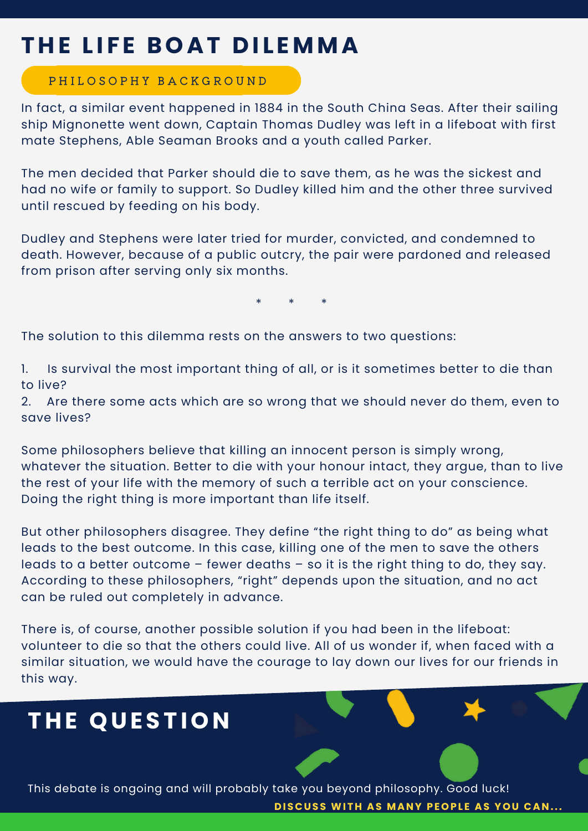## **T H E L I F E BOA T D I L EMMA**

#### P H I L O S O P H Y B A C K G R O U N D

In fact, a similar event happened in 1884 in the South China Seas. After their sailing ship Mignonette went down, Captain Thomas Dudley was left in a lifeboat with first mate Stephens, Able Seaman Brooks and a youth called Parker.

The men decided that Parker should die to save them, as he was the sickest and had no wife or family to support. So Dudley killed him and the other three survived until rescued by feeding on his body.

Dudley and Stephens were later tried for murder, convicted, and condemned to death. However, because of a public outcry, the pair were pardoned and released from prison after serving only six months.

\* \* \*

The solution to this dilemma rests on the answers to two questions:

1. Is survival the most important thing of all, or is it sometimes better to die than to live?

2. Are there some acts which are so wrong that we should never do them, even to save lives?

Some philosophers believe that killing an innocent person is simply wrong, whatever the situation. Better to die with your honour intact, they argue, than to live the rest of your life with the memory of such a terrible act on your conscience. Doing the right thing is more important than life itself.

But other philosophers disagree. They define "the right thing to do" as being what leads to the best outcome. In this case, killing one of the men to save the others leads to a better outcome – fewer deaths – so it is the right thing to do, they say. According to these philosophers, "right" depends upon the situation, and no act can be ruled out completely in advance.

There is, of course, another possible solution if you had been in the lifeboat: volunteer to die so that the others could live. All of us wonder if, when faced with a similar situation, we would have the courage to lay down our lives for our friends in this way.

## **T H E QU EST ION**

This debate is ongoing and will probably take you beyond philosophy. Good luck! **DISCUSS WITH AS MANY PEOPLE AS YOU CAN...**